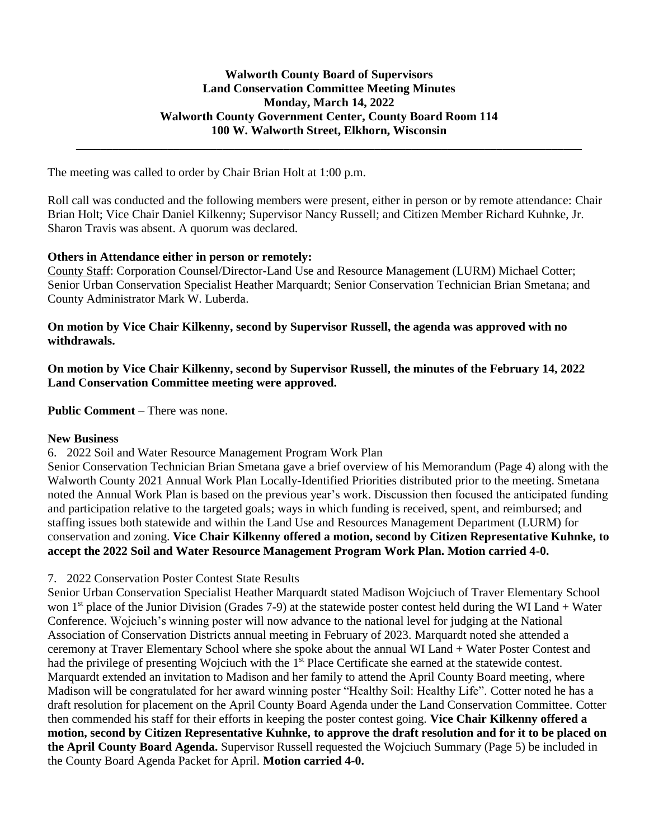**\_\_\_\_\_\_\_\_\_\_\_\_\_\_\_\_\_\_\_\_\_\_\_\_\_\_\_\_\_\_\_\_\_\_\_\_\_\_\_\_\_\_\_\_\_\_\_\_\_\_\_\_\_\_\_\_\_\_\_\_\_\_\_\_\_\_\_\_\_\_\_\_\_\_\_\_\_\_\_\_\_\_\_**

The meeting was called to order by Chair Brian Holt at 1:00 p.m.

Roll call was conducted and the following members were present, either in person or by remote attendance: Chair Brian Holt; Vice Chair Daniel Kilkenny; Supervisor Nancy Russell; and Citizen Member Richard Kuhnke, Jr. Sharon Travis was absent. A quorum was declared.

### **Others in Attendance either in person or remotely:**

County Staff: Corporation Counsel/Director-Land Use and Resource Management (LURM) Michael Cotter; Senior Urban Conservation Specialist Heather Marquardt; Senior Conservation Technician Brian Smetana; and County Administrator Mark W. Luberda.

### **On motion by Vice Chair Kilkenny, second by Supervisor Russell, the agenda was approved with no withdrawals.**

**On motion by Vice Chair Kilkenny, second by Supervisor Russell, the minutes of the February 14, 2022 Land Conservation Committee meeting were approved.**

**Public Comment** – There was none.

#### **New Business**

6. 2022 Soil and Water Resource Management Program Work Plan

Senior Conservation Technician Brian Smetana gave a brief overview of his Memorandum (Page 4) along with the Walworth County 2021 Annual Work Plan Locally-Identified Priorities distributed prior to the meeting. Smetana noted the Annual Work Plan is based on the previous year's work. Discussion then focused the anticipated funding and participation relative to the targeted goals; ways in which funding is received, spent, and reimbursed; and staffing issues both statewide and within the Land Use and Resources Management Department (LURM) for conservation and zoning. **Vice Chair Kilkenny offered a motion, second by Citizen Representative Kuhnke, to accept the 2022 Soil and Water Resource Management Program Work Plan. Motion carried 4-0.**

## 7. 2022 Conservation Poster Contest State Results

Senior Urban Conservation Specialist Heather Marquardt stated Madison Wojciuch of Traver Elementary School won 1<sup>st</sup> place of the Junior Division (Grades 7-9) at the statewide poster contest held during the WI Land + Water Conference. Wojciuch's winning poster will now advance to the national level for judging at the National Association of Conservation Districts annual meeting in February of 2023. Marquardt noted she attended a ceremony at Traver Elementary School where she spoke about the annual WI Land + Water Poster Contest and had the privilege of presenting Wojciuch with the 1<sup>st</sup> Place Certificate she earned at the statewide contest. Marquardt extended an invitation to Madison and her family to attend the April County Board meeting, where Madison will be congratulated for her award winning poster "Healthy Soil: Healthy Life". Cotter noted he has a draft resolution for placement on the April County Board Agenda under the Land Conservation Committee. Cotter then commended his staff for their efforts in keeping the poster contest going. **Vice Chair Kilkenny offered a motion, second by Citizen Representative Kuhnke, to approve the draft resolution and for it to be placed on the April County Board Agenda.** Supervisor Russell requested the Wojciuch Summary (Page 5) be included in the County Board Agenda Packet for April. **Motion carried 4-0.**